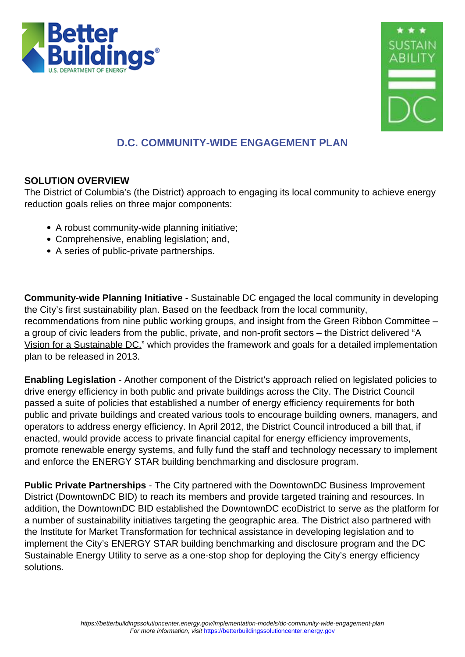



# **D.C. COMMUNITY-WIDE ENGAGEMENT PLAN**

# **SOLUTION OVERVIEW**

The District of Columbia's (the District) approach to engaging its local community to achieve energy reduction goals relies on three major components:

- A robust community-wide planning initiative;
- Comprehensive, enabling legislation; and,
- A series of public-private partnerships.

**Community-wide Planning Initiative** - Sustainable DC engaged the local community in developing the City's first sustainability plan. Based on the feedback from the local community, recommendations from nine public working groups, and insight from the Green Ribbon Committee – a group of civic leaders from the public, private, and non-profit sectors – the District delivered " $\underline{A}$ [Vision for a Sustainable DC,](http://sustainable.dc.gov/sites/default/files/dc/sites/sustainable/publication/attachments/sustainable%20DC%20Vision%20Plan%202.2.pdf)" which provides the framework and goals for a detailed implementation plan to be released in 2013.

**Enabling Legislation** - Another component of the District's approach relied on legislated policies to drive energy efficiency in both public and private buildings across the City. The District Council passed a suite of policies that established a number of energy efficiency requirements for both public and private buildings and created various tools to encourage building owners, managers, and operators to address energy efficiency. In April 2012, the District Council introduced a bill that, if enacted, would provide access to private financial capital for energy efficiency improvements, promote renewable energy systems, and fully fund the staff and technology necessary to implement and enforce the ENERGY STAR building benchmarking and disclosure program.

**Public Private Partnerships** - The City partnered with the DowntownDC Business Improvement District (DowntownDC BID) to reach its members and provide targeted training and resources. In addition, the DowntownDC BID established the DowntownDC ecoDistrict to serve as the platform for a number of sustainability initiatives targeting the geographic area. The District also partnered with the Institute for Market Transformation for technical assistance in developing legislation and to implement the City's ENERGY STAR building benchmarking and disclosure program and the DC Sustainable Energy Utility to serve as a one-stop shop for deploying the City's energy efficiency solutions.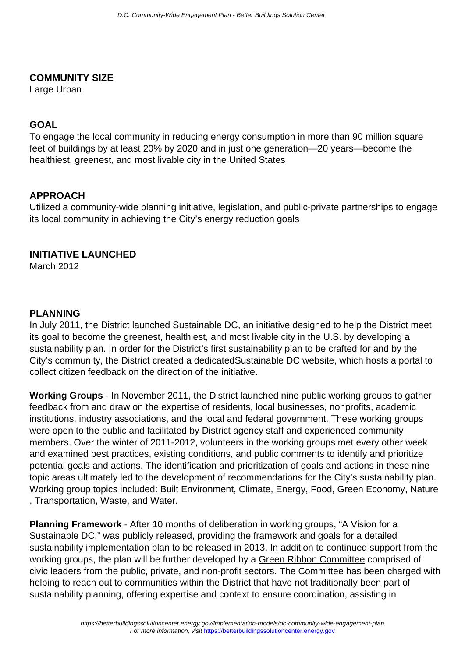#### **COMMUNITY SIZE**

Large Urban

#### **GOAL**

To engage the local community in reducing energy consumption in more than 90 million square feet of buildings by at least 20% by 2020 and in just one generation—20 years—become the healthiest, greenest, and most livable city in the United States

#### **APPROACH**

Utilized a community-wide planning initiative, legislation, and public-private partnerships to engage its local community in achieving the City's energy reduction goals

#### **INITIATIVE LAUNCHED**

March 2012

#### **PLANNING**

In July 2011, the District launched Sustainable DC, an initiative designed to help the District meet its goal to become the greenest, healthiest, and most livable city in the U.S. by developing a sustainability plan. In order for the District's first sustainability plan to be crafted for and by the City's community, the District created a dedicated[Sustainable DC website,](http://sustainable.dc.gov/page/what-sustainable-dc) which hosts a [portal](http://sustainable.dc.gov/node/138702) to collect citizen feedback on the direction of the initiative.

**Working Groups** - In November 2011, the District launched nine public working groups to gather feedback from and draw on the expertise of residents, local businesses, nonprofits, academic institutions, industry associations, and the local and federal government. These working groups were open to the public and facilitated by District agency staff and experienced community members. Over the winter of 2011-2012, volunteers in the working groups met every other week and examined best practices, existing conditions, and public comments to identify and prioritize potential goals and actions. The identification and prioritization of goals and actions in these nine topic areas ultimately led to the development of recommendations for the City's sustainability plan. Working group topics included: [Built Environment](http://sustainable.dc.gov/page/built-environment-working-group-background-documents), [Climate,](http://sustainable.dc.gov/publication/climate-working-group-documents-and-resources) [Energy](http://sustainable.dc.gov/page/energy-working-group-background-documents), [Food](http://sustainable.dc.gov/page/food-working-group-background-documents), [Green Economy,](http://sustainable.dc.gov/publication/green-economy-working-group-documents-and-resources) [Nature](http://sustainable.dc.gov/page/nature-working-group-background-documents) , [Transportation,](http://sustainable.dc.gov/page/transportation-working-group-background-documents) [Waste,](http://sustainable.dc.gov/page/waste-working-group-background-documents) and [Water.](http://sustainable.dc.gov/page/water-working-group-background-documents)

**Planning Framework** - After 10 months of deliberation in working groups, ["A Vision for a](http://sustainable.dc.gov/sites/default/files/dc/sites/sustainable/publication/attachments/sustainable%20DC%20Vision%20Plan%202.2.pdf) [Sustainable DC](http://sustainable.dc.gov/sites/default/files/dc/sites/sustainable/publication/attachments/sustainable%20DC%20Vision%20Plan%202.2.pdf)," was publicly released, providing the framework and goals for a detailed sustainability implementation plan to be released in 2013. In addition to continued support from the working groups, the plan will be further developed by a [Green Ribbon Committee](http://sustainable.dc.gov/sites/default/files/dc/sites/sustainable/publication/attachments/SDC_Green_Ribbon_Committee_Overview.pdf) comprised of civic leaders from the public, private, and non-profit sectors. The Committee has been charged with helping to reach out to communities within the District that have not traditionally been part of sustainability planning, offering expertise and context to ensure coordination, assisting in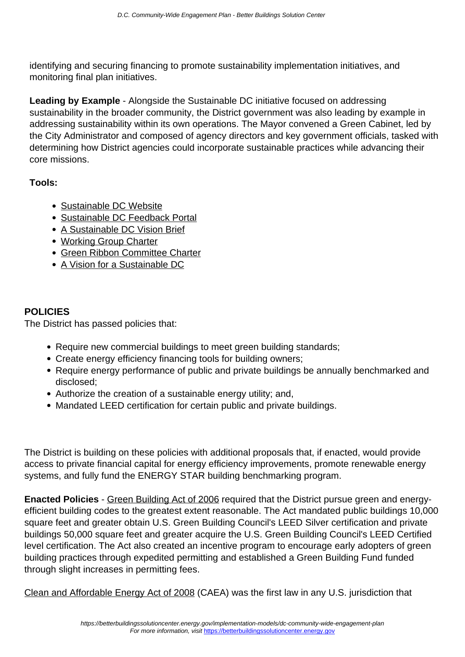identifying and securing financing to promote sustainability implementation initiatives, and monitoring final plan initiatives.

**Leading by Example** - Alongside the Sustainable DC initiative focused on addressing sustainability in the broader community, the District government was also leading by example in addressing sustainability within its own operations. The Mayor convened a Green Cabinet, led by the City Administrator and composed of agency directors and key government officials, tasked with determining how District agencies could incorporate sustainable practices while advancing their core missions.

# **Tools:**

- [Sustainable DC Website](http://sustainable.dc.gov/)
- [Sustainable DC Feedback Portal](http://sustainable.dc.gov/node/138702)
- [A Sustainable DC Vision Brief](http://sustainable.dc.gov/sites/default/files/dc/sites/sustainable/publication/attachments/Sustainable.pdf)
- [Working Group Charter](http://sustainable.dc.gov/sites/default/files/dc/sites/sustainable/publication/attachments/Working.pdf)
- [Green Ribbon Committee Charter](http://sustainable.dc.gov/sites/default/files/dc/sites/sustainable/publication/attachments/SDC_Green_Ribbon_Committee_Overview.pdf)
- [A Vision for a Sustainable DC](http://sustainable.dc.gov/sites/default/files/dc/sites/sustainable/publication/attachments/SDC_Green_Ribbon_Committee_Overview.pdf)

# **POLICIES**

The District has passed policies that:

- Require new commercial buildings to meet green building standards;
- Create energy efficiency financing tools for building owners;
- Require energy performance of public and private buildings be annually benchmarked and disclosed;
- Authorize the creation of a sustainable energy utility; and,
- Mandated LEED certification for certain public and private buildings.

The District is building on these policies with additional proposals that, if enacted, would provide access to private financial capital for energy efficiency improvements, promote renewable energy systems, and fully fund the ENERGY STAR building benchmarking program.

**Enacted Policies** - [Green Building Act of 2006](http://rrc.dc.gov/green/lib/green/pdfs/GreenBuilding_act06.pdf) required that the District pursue green and energyefficient building codes to the greatest extent reasonable. The Act mandated public buildings 10,000 square feet and greater obtain U.S. Green Building Council's LEED Silver certification and private buildings 50,000 square feet and greater acquire the U.S. Green Building Council's LEED Certified level certification. The Act also created an incentive program to encourage early adopters of green building practices through expedited permitting and established a Green Building Fund funded through slight increases in permitting fees.

[Clean and Affordable Energy Act of 2008](http://green.dc.gov/sites/default/files/dc/sites/ddoe/publication/attachments/CAEA_of_2008_B17-0492.pdf) (CAEA) was the first law in any U.S. jurisdiction that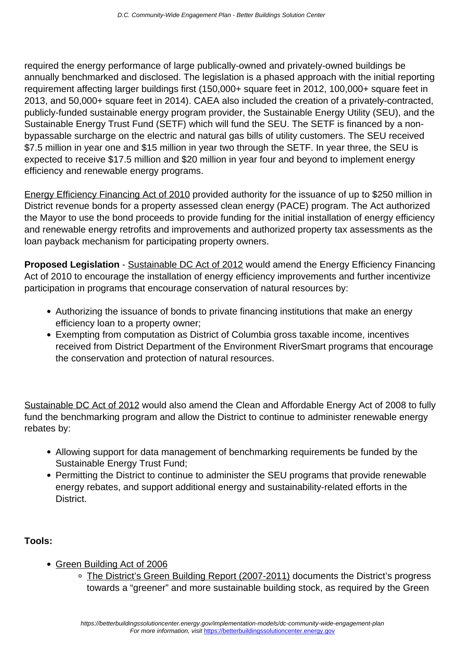required the energy performance of large publically-owned and privately-owned buildings be annually benchmarked and disclosed. The legislation is a phased approach with the initial reporting requirement affecting larger buildings first (150,000+ square feet in 2012, 100,000+ square feet in 2013, and 50,000+ square feet in 2014). CAEA also included the creation of a privately-contracted, publicly-funded sustainable energy program provider, the Sustainable Energy Utility (SEU), and the Sustainable Energy Trust Fund (SETF) which will fund the SEU. The SETF is financed by a nonbypassable surcharge on the electric and natural gas bills of utility customers. The SEU received \$7.5 million in year one and \$15 million in year two through the SETF. In year three, the SEU is expected to receive \$17.5 million and \$20 million in year four and beyond to implement energy efficiency and renewable energy programs.

[Energy Efficiency Financing Act of 2010](http://green.dc.gov/sites/default/files/dc/sites/ddoe/publication/attachments/ENROLLED_Energy_Efficiency_Financing_Act_of_2010_B18-580.pdf) provided authority for the issuance of up to \$250 million in District revenue bonds for a property assessed clean energy (PACE) program. The Act authorized the Mayor to use the bond proceeds to provide funding for the initial installation of energy efficiency and renewable energy retrofits and improvements and authorized property tax assessments as the loan payback mechanism for participating property owners.

**Proposed Legislation** - [Sustainable DC Act of 2012](http://dcclims1.dccouncil.us/images/00001/20120613102537.pdf) would amend the Energy Efficiency Financing Act of 2010 to encourage the installation of energy efficiency improvements and further incentivize participation in programs that encourage conservation of natural resources by:

- Authorizing the issuance of bonds to private financing institutions that make an energy efficiency loan to a property owner;
- Exempting from computation as District of Columbia gross taxable income, incentives received from District Department of the Environment RiverSmart programs that encourage the conservation and protection of natural resources.

[Sustainable DC Act of 2012](http://dcclims1.dccouncil.us/images/00001/20120613102537.pdf) would also amend the Clean and Affordable Energy Act of 2008 to fully fund the benchmarking program and allow the District to continue to administer renewable energy rebates by:

- Allowing support for data management of benchmarking requirements be funded by the Sustainable Energy Trust Fund;
- Permitting the District to continue to administer the SEU programs that provide renewable energy rebates, and support additional energy and sustainability-related efforts in the District.

- [Green Building Act of 2006](http://rrc.dc.gov/green/lib/green/pdfs/GreenBuilding_act06.pdf)
	- [The District's Green Building Report \(2007-2011\)](http://ddoe.dc.gov/sites/default/files/dc/sites/ddoe/publication/attachments/20120501_Green.pdf) documents the District's progress towards a "greener" and more sustainable building stock, as required by the Green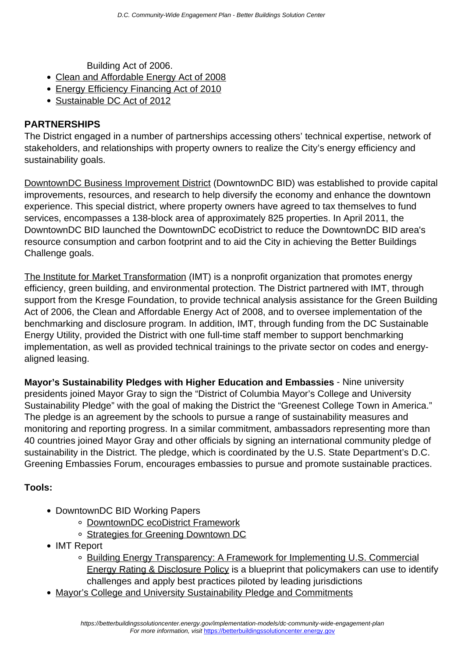Building Act of 2006.

- [Clean and Affordable Energy Act of 2008](http://green.dc.gov/sites/default/files/dc/sites/ddoe/publication/attachments/CAEA_of_2008_B17-0492.pdf)
- [Energy Efficiency Financing Act of 2010](http://green.dc.gov/sites/default/files/dc/sites/ddoe/publication/attachments/ENROLLED_Energy_Efficiency_Financing_Act_of_2010_B18-580.pdf)
- [Sustainable DC Act of 2012](http://dcclims1.dccouncil.us/images/00001/20120613102537.pdf)

## **PARTNERSHIPS**

The District engaged in a number of partnerships accessing others' technical expertise, network of stakeholders, and relationships with property owners to realize the City's energy efficiency and sustainability goals.

[DowntownDC Business Improvement District](http://www.downtowndc.org/) (DowntownDC BID) was established to provide capital improvements, resources, and research to help diversify the economy and enhance the downtown experience. This special district, where property owners have agreed to tax themselves to fund services, encompasses a 138-block area of approximately 825 properties. In April 2011, the DowntownDC BID launched the DowntownDC ecoDistrict to reduce the DowntownDC BID area's resource consumption and carbon footprint and to aid the City in achieving the Better Buildings Challenge goals.

[The Institute for Market Transformation](http://www.imt.org/about/where-we-work/dc) (IMT) is a nonprofit organization that promotes energy efficiency, green building, and environmental protection. The District partnered with IMT, through support from the Kresge Foundation, to provide technical analysis assistance for the Green Building Act of 2006, the Clean and Affordable Energy Act of 2008, and to oversee implementation of the benchmarking and disclosure program. In addition, IMT, through funding from the DC Sustainable Energy Utility, provided the District with one full-time staff member to support benchmarking implementation, as well as provided technical trainings to the private sector on codes and energyaligned leasing.

**Mayor's Sustainability Pledges with Higher Education and Embassies** - Nine university presidents joined Mayor Gray to sign the "District of Columbia Mayor's College and University Sustainability Pledge" with the goal of making the District the "Greenest College Town in America." The pledge is an agreement by the schools to pursue a range of sustainability measures and monitoring and reporting progress. In a similar commitment, ambassadors representing more than 40 countries joined Mayor Gray and other officials by signing an international community pledge of sustainability in the District. The pledge, which is coordinated by the U.S. State Department's D.C. Greening Embassies Forum, encourages embassies to pursue and promote sustainable practices.

- DowntownDC BID Working Papers
	- [DowntownDC ecoDistrict Framework](http://www.downtowndc.org/_files/docs/leadershipgreening2.pdf)
	- [Strategies for Greening Downtown DC](http://www.downtowndc.org/_files/docs/leadershipgreening.pdf)
- IMT Report
	- [Building Energy Transparency: A Framework for Implementing U.S. Commercial](http://www.buildingrating.org/sites/default/files/documents/IMT-Building_Energy_Transparency_Report.pdf) [Energy Rating & Disclosure Policy](http://www.buildingrating.org/sites/default/files/documents/IMT-Building_Energy_Transparency_Report.pdf) is a blueprint that policymakers can use to identify challenges and apply best practices piloted by leading jurisdictions
- [Mayor's College and University Sustainability Pledge and Commitments](http://sustainable.dc.gov/sites/default/files/dc/sites/sustainable/publication/attachments/CUSP.signatures.pdf)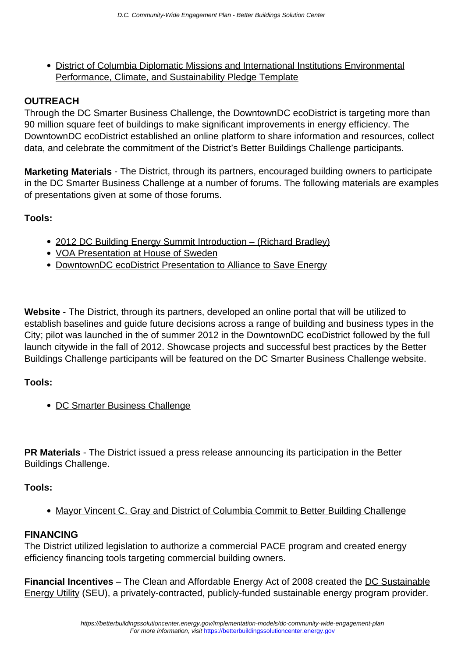[District of Columbia Diplomatic Missions and International Institutions Environmental](http://ambafrance-us.org/IMG/pdf/DC-Sustainability-Pledge-2012.pdf) [Performance, Climate, and Sustainability Pledge Template](http://ambafrance-us.org/IMG/pdf/DC-Sustainability-Pledge-2012.pdf)

# **OUTREACH**

Through the DC Smarter Business Challenge, the DowntownDC ecoDistrict is targeting more than 90 million square feet of buildings to make significant improvements in energy efficiency. The DowntownDC ecoDistrict established an online platform to share information and resources, collect data, and celebrate the commitment of the District's Better Buildings Challenge participants.

**Marketing Materials** - The District, through its partners, encouraged building owners to participate in the DC Smarter Business Challenge at a number of forums. The following materials are examples of presentations given at some of those forums.

### **Tools:**

- [2012 DC Building Energy Summit Introduction \(Richard Bradley\)](http://www.downtowndc.org/_files/docs/richardbradley.pdf)
- [VOA Presentation at House of Sweden](http://www.downtowndc.org/_files/docs/voasustainabledesign.pdf)
- [DowntownDC ecoDistrict Presentation to Alliance to Save Energy](http://www.downtowndc.org/_files/docs/ecodistrict_ase_6.5.12.pdf)

**Website** - The District, through its partners, developed an online portal that will be utilized to establish baselines and guide future decisions across a range of building and business types in the City; pilot was launched in the of summer 2012 in the DowntownDC ecoDistrict followed by the full launch citywide in the fall of 2012. Showcase projects and successful best practices by the Better Buildings Challenge participants will be featured on the DC Smarter Business Challenge website.

### **Tools:**

• [DC Smarter Business Challenge](http://dcsmarterbusiness.com/)

**PR Materials** - The District issued a press release announcing its participation in the Better Buildings Challenge.

#### **Tools:**

• [Mayor Vincent C. Gray and District of Columbia Commit to Better Building Challenge](http://ddoe.dc.gov/release/mayor-vincent-c-gray-and-district-columbia-commit-better-building-challenge)

#### **FINANCING**

The District utilized legislation to authorize a commercial PACE program and created energy efficiency financing tools targeting commercial building owners.

**Financial Incentives** – The Clean and Affordable Energy Act of 2008 created the [DC Sustainable](http://www.dcseu.com/) [Energy Utility](http://www.dcseu.com/) (SEU), a privately-contracted, publicly-funded sustainable energy program provider.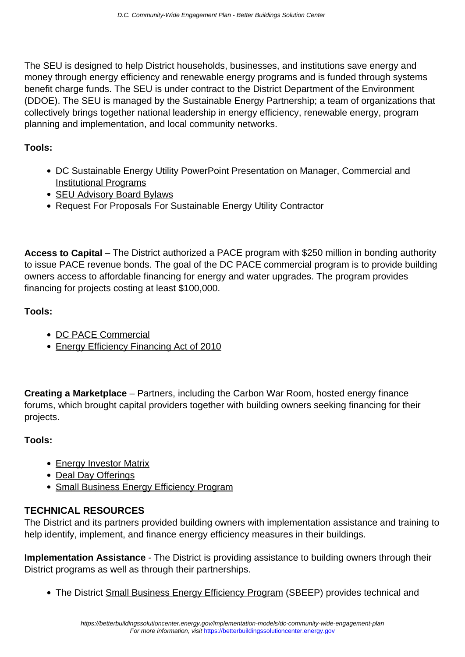The SEU is designed to help District households, businesses, and institutions save energy and money through energy efficiency and renewable energy programs and is funded through systems benefit charge funds. The SEU is under contract to the District Department of the Environment (DDOE). The SEU is managed by the Sustainable Energy Partnership; a team of organizations that collectively brings together national leadership in energy efficiency, renewable energy, program planning and implementation, and local community networks.

# **Tools:**

- [DC Sustainable Energy Utility PowerPoint Presentation on Manager, Commercial and](http://www.downtowndc.org/_files/docs/kimhenderson.pdf) [Institutional Programs](http://www.downtowndc.org/_files/docs/kimhenderson.pdf)
- [SEU Advisory Board Bylaws](http://green.dc.gov/page/seu-advisory-board-bylaws)
- [Request For Proposals For Sustainable Energy Utility Contractor](http://rrc.dc.gov/green/cwp/view,A,1244,Q,463662.asp)

**Access to Capital** – The District authorized a PACE program with \$250 million in bonding authority to issue PACE revenue bonds. The goal of the DC PACE commercial program is to provide building owners access to affordable financing for energy and water upgrades. The program provides financing for projects costing at least \$100,000.

# **Tools:**

- [DC PACE Commercial](http://www.dcpace.com/)
- [Energy Efficiency Financing Act of 2010](http://green.dc.gov/sites/default/files/dc/sites/ddoe/publication/attachments/ENROLLED_Energy_Efficiency_Financing_Act_of_2010_B18-580.pdf)

**Creating a Marketplace** – Partners, including the Carbon War Room, hosted energy finance forums, which brought capital providers together with building owners seeking financing for their projects.

### **Tools:**

- [Energy Investor Matrix](http://www.downtowndc.org/_files/docs/20111114-energy-investors-forum-matrix.pdf)
- [Deal Day Offerings](http://www.downtowndc.org/_files/docs/dealdaycompanies.pdf)
- [Small Business Energy Efficiency Program](http://green.dc.gov/smallbusiness)

# **TECHNICAL RESOURCES**

The District and its partners provided building owners with implementation assistance and training to help identify, implement, and finance energy efficiency measures in their buildings.

**Implementation Assistance** - The District is providing assistance to building owners through their District programs as well as through their partnerships.

The District [Small Business Energy Efficiency Program](http://green.dc.gov/smallbusiness) (SBEEP) provides technical and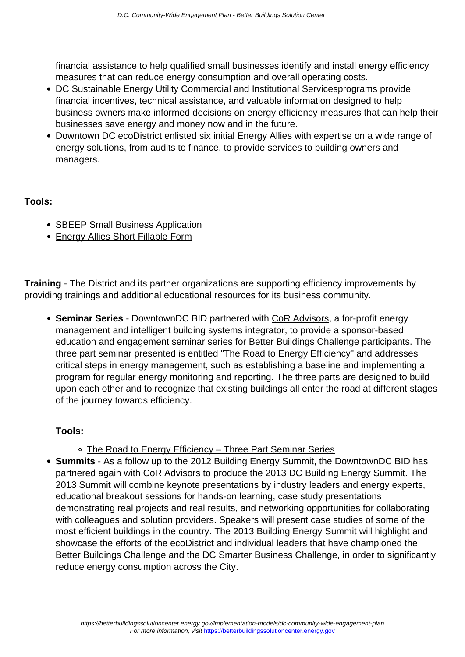financial assistance to help qualified small businesses identify and install energy efficiency measures that can reduce energy consumption and overall operating costs.

- [DC Sustainable Energy Utility Commercial and Institutional Servicesp](http://www.dcseu.com/for-your-business/commercial-institutional)rograms provide financial incentives, technical assistance, and valuable information designed to help business owners make informed decisions on energy efficiency measures that can help their businesses save energy and money now and in the future.
- Downtown DC ecoDistrict enlisted six initial **Energy Allies** with expertise on a wide range of energy solutions, from audits to finance, to provide services to building owners and managers.

### **Tools:**

- [SBEEP Small Business Application](http://green.dc.gov/sites/default/files/dc/sites/ddoe/service_content/attachments/SBEEP.pdf)
- [Energy Allies Short Fillable Form](http://www.dcbid.net/greening/building_summit_form.htm)

**Training** - The District and its partner organizations are supporting efficiency improvements by providing trainings and additional educational resources for its business community.

**Seminar Series** - DowntownDC BID partnered with [CoR Advisors](http://www.coradvisors.net/), a for-profit energy management and intelligent building systems integrator, to provide a sponsor-based education and engagement seminar series for Better Buildings Challenge participants. The three part seminar presented is entitled "The Road to Energy Efficiency" and addresses critical steps in energy management, such as establishing a baseline and implementing a program for regular energy monitoring and reporting. The three parts are designed to build upon each other and to recognize that existing buildings all enter the road at different stages of the journey towards efficiency.

- [The Road to Energy Efficiency Three Part Seminar Series](http://www.coradvisors.net/dcenergyseminar-1.asp)
- **Summits** As a follow up to the 2012 Building Energy Summit, the DowntownDC BID has partnered again with [CoR Advisors](http://www.coradvisors.net/) to produce the 2013 DC Building Energy Summit. The 2013 Summit will combine keynote presentations by industry leaders and energy experts, educational breakout sessions for hands-on learning, case study presentations demonstrating real projects and real results, and networking opportunities for collaborating with colleagues and solution providers. Speakers will present case studies of some of the most efficient buildings in the country. The 2013 Building Energy Summit will highlight and showcase the efforts of the ecoDistrict and individual leaders that have championed the Better Buildings Challenge and the DC Smarter Business Challenge, in order to significantly reduce energy consumption across the City.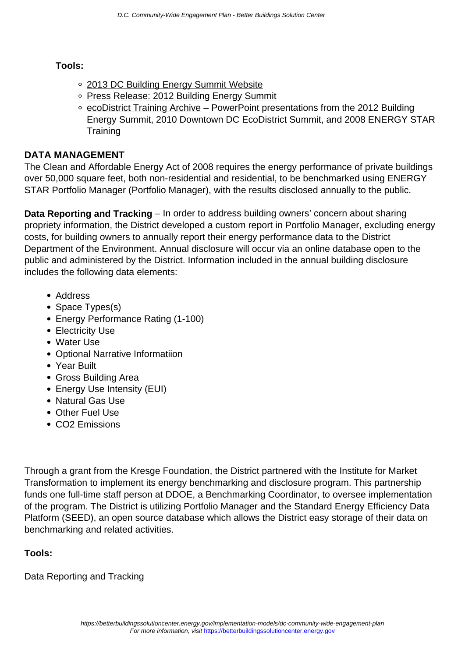# **Tools:**

- [2013 DC Building Energy Summit Website](http://2013.dcenergysummit.com/)
- o [Press Release: 2012 Building Energy Summit](http://www.coradvisors.net/newsarticle.asp?id=66)
- [ecoDistrict Training Archive](http://www.downtowndc.org/programs/greening-downtown/learn-to-be-green) PowerPoint presentations from the 2012 Building Energy Summit, 2010 Downtown DC EcoDistrict Summit, and 2008 ENERGY STAR **Training**

# **DATA MANAGEMENT**

The Clean and Affordable Energy Act of 2008 requires the energy performance of private buildings over 50,000 square feet, both non-residential and residential, to be benchmarked using ENERGY STAR Portfolio Manager (Portfolio Manager), with the results disclosed annually to the public.

**Data Reporting and Tracking** – In order to address building owners' concern about sharing propriety information, the District developed a custom report in Portfolio Manager, excluding energy costs, for building owners to annually report their energy performance data to the District Department of the Environment. Annual disclosure will occur via an online database open to the public and administered by the District. Information included in the annual building disclosure includes the following data elements:

- Address
- Space Types(s)
- Energy Performance Rating (1-100)
- Electricity Use
- Water Use
- Optional Narrative Informatiion
- Year Built
- Gross Building Area
- Energy Use Intensity (EUI)
- Natural Gas Use
- Other Fuel Use
- CO2 Emissions

Through a grant from the Kresge Foundation, the District partnered with the Institute for Market Transformation to implement its energy benchmarking and disclosure program. This partnership funds one full-time staff person at DDOE, a Benchmarking Coordinator, to oversee implementation of the program. The District is utilizing Portfolio Manager and the Standard Energy Efficiency Data Platform (SEED), an open source database which allows the District easy storage of their data on benchmarking and related activities.

# **Tools:**

Data Reporting and Tracking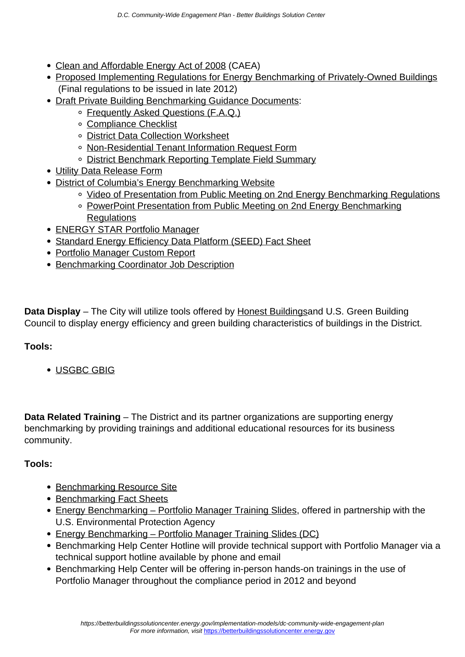- [Clean and Affordable Energy Act of 2008](http://green.dc.gov/sites/default/files/dc/sites/ddoe/publication/attachments/CAEA_of_2008_B17-0492.pdf) (CAEA)
- [Proposed Implementing Regulations for Energy Benchmarking of Privately-Owned Buildings](http://www.dcregs.dc.gov/Gateway/NoticeHome.aspx?noticeid=2818546) (Final regulations to be issued in late 2012)
- [Draft Private Building Benchmarking Guidance Documents:](http://ddoe.dc.gov/publication/second-proposed-rulemaking-private-building-benchmarking)
	- o [Frequently Asked Questions \(F.A.Q.\)](http://ddoe.dc.gov/sites/default/files/dc/sites/ddoe/publication/attachments/BenchmarkDC_FAQ_0712.pdf)
	- [Compliance Checklist](http://ddoe.dc.gov/sites/default/files/dc/sites/ddoe/publication/attachments/BenchmarkDC_Compliance_Checklist_0712.pdf)
	- [District Data Collection Worksheet](http://ddoe.dc.gov/sites/default/files/dc/sites/ddoe/publication/attachments/BenchmarkDC_Data_Collection_1011_LiveForm_07-2012.pdf)
	- [Non-Residential Tenant Information Request Form](http://ddoe.dc.gov/sites/default/files/dc/sites/ddoe/publication/attachments/BenchmarkDC_Non-Res_Tenant_Doc_0712.doc)
	- o [District Benchmark Reporting Template Field Summary](http://ddoe.dc.gov/sites/default/files/dc/sites/ddoe/publication/attachments/BenchmarkDC.pdf)
- [Utility Data Release Form](http://ddoe.dc.gov/sites/default/files/dc/sites/ddoe/publication/attachments/DDOE_Utility_Release_LiveForm_0712.pdf)
- [District of Columbia's Energy Benchmarking Website](http://ddoe.dc.gov/energybenchmarking)
	- o [Video of Presentation from Public Meeting on 2nd Energy Benchmarking Regulations](http://globalresourcesnews.com/p-DCBenchmarking120731)
	- o [PowerPoint Presentation from Public Meeting on 2nd Energy Benchmarking](http://ddoe.dc.gov/sites/default/files/dc/sites/ddoe/publication/attachments/BenchmarkDC_PublicMtg_7-31-2012.pdf) [Regulations](http://ddoe.dc.gov/sites/default/files/dc/sites/ddoe/publication/attachments/BenchmarkDC_PublicMtg_7-31-2012.pdf)
- [ENERGY STAR Portfolio Manager](http://www.energystar.gov/benchmark)
- [Standard Energy Efficiency Data Platform \(SEED\) Fact Sheet](http://www1.eere.energy.gov/buildings/pdfs/seed_factsheet.pdf)
- [Portfolio Manager Custom Report](https://www4.eere.energy.gov/challenge/sites/default/files/uploaded-files/im-dc-manager-report.pdf)
- **[Benchmarking Coordinator Job Description](https://www4.eere.energy.gov/challenge/sites/default/files/uploaded-files/im-dc-benchmarking-coordination.pdf)**

**Data Display** – The City will utilize tools offered by [Honest Buildingsa](http://www.honestbuildings.com/)nd U.S. Green Building Council to display energy efficiency and green building characteristics of buildings in the District.

### **Tools:**

[USGBC GBIG](http://www.gbig.org/collections/502)

**Data Related Training** – The District and its partner organizations are supporting energy benchmarking by providing trainings and additional educational resources for its business community.

- **[Benchmarking Resource Site](http://dcseu.com/for-your-business/benchmarking)**
- [Benchmarking Fact Sheets](http://ddoe.dc.gov/sites/default/files/dc/sites/ddoe/publication/attachments/BenchmarkDC_DDOE-DCSEU_cobranded_flyer.pdf)
- [Energy Benchmarking Portfolio Manager Training Slides,](http://ddoe.dc.gov/sites/default/files/dc/sites/ddoe/publication/attachments/ESPM_training_3-21-12_KU.pdf) offered in partnership with the U.S. Environmental Protection Agency
- [Energy Benchmarking Portfolio Manager Training Slides \(DC\)](http://green.dc.gov/sites/default/files/dc/sites/ddoe/publication/attachments/benchmariking_ESPM_training_3-21-12.pdf)
- Benchmarking Help Center Hotline will provide technical support with Portfolio Manager via a technical support hotline available by phone and email
- Benchmarking Help Center will be offering in-person hands-on trainings in the use of Portfolio Manager throughout the compliance period in 2012 and beyond